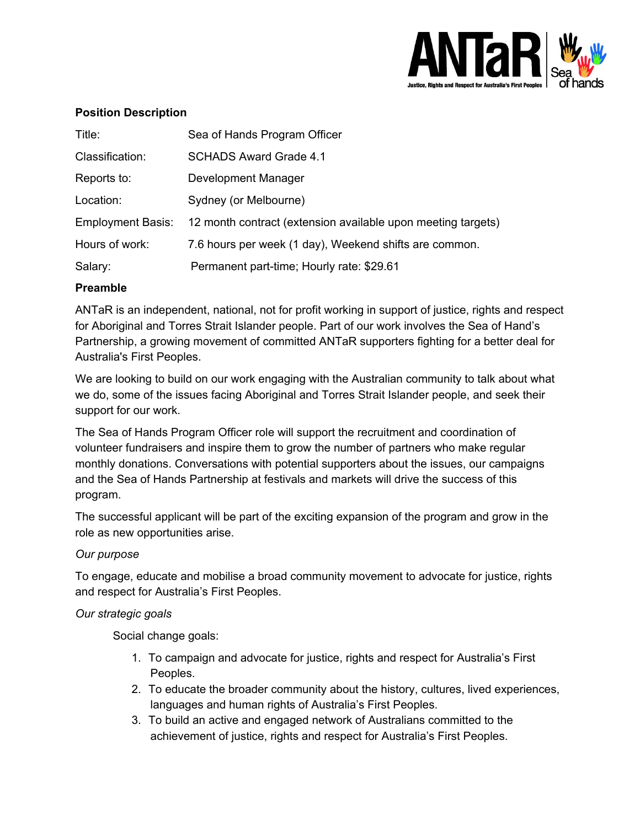

### **Position Description**

| Title:                   | Sea of Hands Program Officer                                 |
|--------------------------|--------------------------------------------------------------|
| Classification:          | <b>SCHADS Award Grade 4.1</b>                                |
| Reports to:              | Development Manager                                          |
| Location:                | Sydney (or Melbourne)                                        |
| <b>Employment Basis:</b> | 12 month contract (extension available upon meeting targets) |
| Hours of work:           | 7.6 hours per week (1 day), Weekend shifts are common.       |
| Salary:                  | Permanent part-time; Hourly rate: \$29.61                    |

### **Preamble**

ANTaR is an independent, national, not for profit working in support of justice, rights and respect for Aboriginal and Torres Strait Islander people. Part of our work involves the Sea of Hand's Partnership, a growing movement of committed ANTaR supporters fighting for a better deal for Australia's First Peoples.

We are looking to build on our work engaging with the Australian community to talk about what we do, some of the issues facing Aboriginal and Torres Strait Islander people, and seek their support for our work.

The Sea of Hands Program Officer role will support the recruitment and coordination of volunteer fundraisers and inspire them to grow the number of partners who make regular monthly donations. Conversations with potential supporters about the issues, our campaigns and the Sea of Hands Partnership at festivals and markets will drive the success of this program.

The successful applicant will be part of the exciting expansion of the program and grow in the role as new opportunities arise.

### *Our purpose*

To engage, educate and mobilise a broad community movement to advocate for justice, rights and respect for Australia's First Peoples.

### *Our strategic goals*

Social change goals:

- 1. To campaign and advocate for justice, rights and respect for Australia's First Peoples.
- 2. To educate the broader community about the history, cultures, lived experiences, languages and human rights of Australia's First Peoples.
- 3. To build an active and engaged network of Australians committed to the achievement of justice, rights and respect for Australia's First Peoples.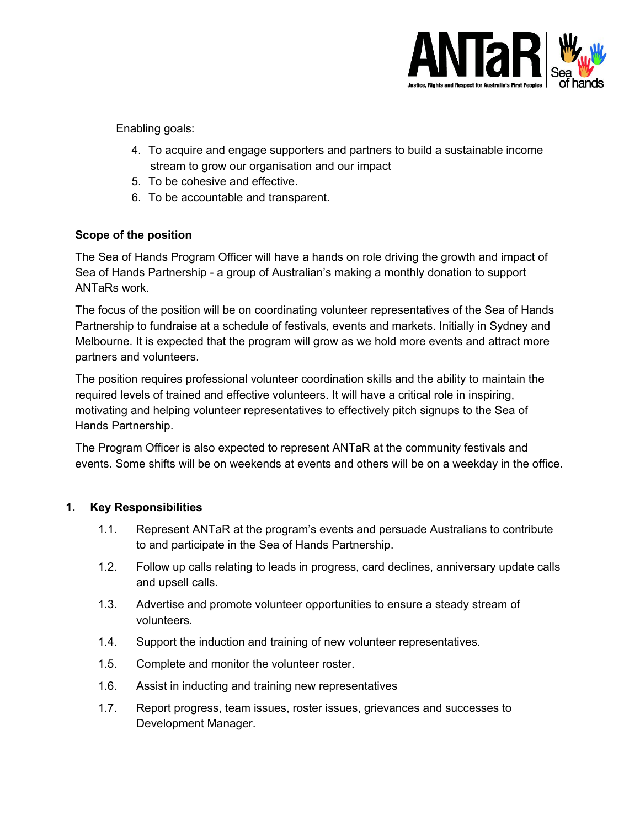

Enabling goals:

- 4. To acquire and engage supporters and partners to build a sustainable income stream to grow our organisation and our impact
- 5. To be cohesive and effective.
- 6. To be accountable and transparent.

# **Scope of the position**

The Sea of Hands Program Officer will have a hands on role driving the growth and impact of Sea of Hands Partnership - a group of Australian's making a monthly donation to support ANTaRs work.

The focus of the position will be on coordinating volunteer representatives of the Sea of Hands Partnership to fundraise at a schedule of festivals, events and markets. Initially in Sydney and Melbourne. It is expected that the program will grow as we hold more events and attract more partners and volunteers.

The position requires professional volunteer coordination skills and the ability to maintain the required levels of trained and effective volunteers. It will have a critical role in inspiring, motivating and helping volunteer representatives to effectively pitch signups to the Sea of Hands Partnership.

The Program Officer is also expected to represent ANTaR at the community festivals and events. Some shifts will be on weekends at events and others will be on a weekday in the office.

# **1. Key Responsibilities**

- 1.1. Represent ANTaR at the program's events and persuade Australians to contribute to and participate in the Sea of Hands Partnership.
- 1.2. Follow up calls relating to leads in progress, card declines, anniversary update calls and upsell calls.
- 1.3. Advertise and promote volunteer opportunities to ensure a steady stream of volunteers.
- 1.4. Support the induction and training of new volunteer representatives.
- 1.5. Complete and monitor the volunteer roster.
- 1.6. Assist in inducting and training new representatives
- 1.7. Report progress, team issues, roster issues, grievances and successes to Development Manager.